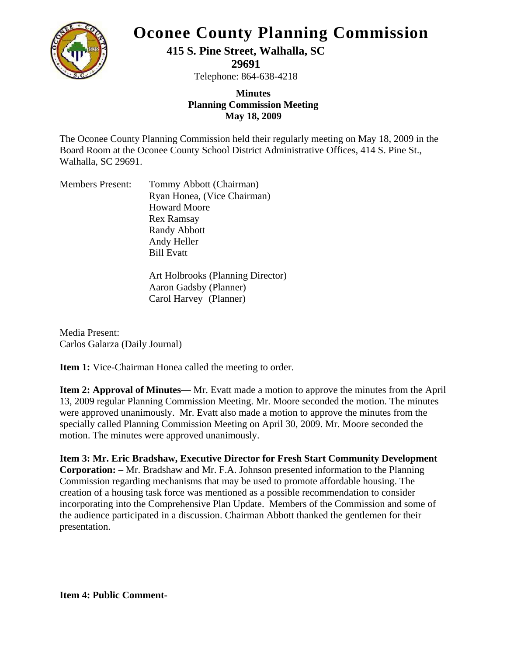

## **Oconee County Planning Commission**

**415 S. Pine Street, Walhalla, SC** 

**29691** 

Telephone: 864-638-4218

## **Minutes Planning Commission Meeting May 18, 2009**

The Oconee County Planning Commission held their regularly meeting on May 18, 2009 in the Board Room at the Oconee County School District Administrative Offices, 414 S. Pine St., Walhalla, SC 29691.

| <b>Members Present:</b> | Tommy Abbott (Chairman)     |
|-------------------------|-----------------------------|
|                         | Ryan Honea, (Vice Chairman) |
|                         | <b>Howard Moore</b>         |
|                         | Rex Ramsay                  |
|                         | <b>Randy Abbott</b>         |
|                         | Andy Heller                 |
|                         | <b>Bill Evatt</b>           |
|                         |                             |

Art Holbrooks (Planning Director) Aaron Gadsby (Planner) Carol Harvey (Planner)

Media Present: Carlos Galarza (Daily Journal)

**Item 1:** Vice-Chairman Honea called the meeting to order.

**Item 2: Approval of Minutes—** Mr. Evatt made a motion to approve the minutes from the April 13, 2009 regular Planning Commission Meeting. Mr. Moore seconded the motion. The minutes were approved unanimously. Mr. Evatt also made a motion to approve the minutes from the specially called Planning Commission Meeting on April 30, 2009. Mr. Moore seconded the motion. The minutes were approved unanimously.

**Item 3: Mr. Eric Bradshaw, Executive Director for Fresh Start Community Development Corporation:** – Mr. Bradshaw and Mr. F.A. Johnson presented information to the Planning Commission regarding mechanisms that may be used to promote affordable housing. The creation of a housing task force was mentioned as a possible recommendation to consider incorporating into the Comprehensive Plan Update. Members of the Commission and some of the audience participated in a discussion. Chairman Abbott thanked the gentlemen for their presentation.